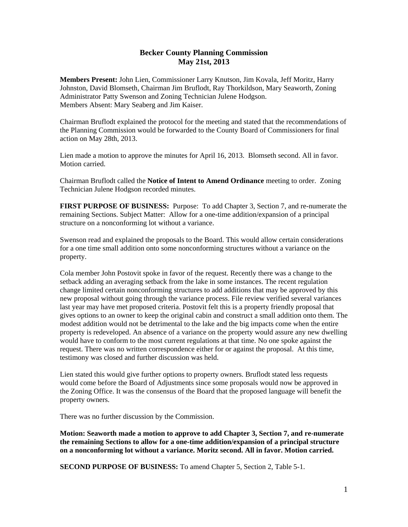## **Becker County Planning Commission May 21st, 2013**

**Members Present:** John Lien, Commissioner Larry Knutson, Jim Kovala, Jeff Moritz, Harry Johnston, David Blomseth, Chairman Jim Bruflodt, Ray Thorkildson, Mary Seaworth, Zoning Administrator Patty Swenson and Zoning Technician Julene Hodgson. Members Absent: Mary Seaberg and Jim Kaiser.

Chairman Bruflodt explained the protocol for the meeting and stated that the recommendations of the Planning Commission would be forwarded to the County Board of Commissioners for final action on May 28th, 2013.

Lien made a motion to approve the minutes for April 16, 2013. Blomseth second. All in favor. Motion carried.

Chairman Bruflodt called the **Notice of Intent to Amend Ordinance** meeting to order. Zoning Technician Julene Hodgson recorded minutes.

**FIRST PURPOSE OF BUSINESS:** Purpose: To add Chapter 3, Section 7, and re-numerate the remaining Sections. Subject Matter: Allow for a one-time addition/expansion of a principal structure on a nonconforming lot without a variance.

Swenson read and explained the proposals to the Board. This would allow certain considerations for a one time small addition onto some nonconforming structures without a variance on the property.

Cola member John Postovit spoke in favor of the request. Recently there was a change to the setback adding an averaging setback from the lake in some instances. The recent regulation change limited certain nonconforming structures to add additions that may be approved by this new proposal without going through the variance process. File review verified several variances last year may have met proposed criteria. Postovit felt this is a property friendly proposal that gives options to an owner to keep the original cabin and construct a small addition onto them. The modest addition would not be detrimental to the lake and the big impacts come when the entire property is redeveloped. An absence of a variance on the property would assure any new dwelling would have to conform to the most current regulations at that time. No one spoke against the request. There was no written correspondence either for or against the proposal. At this time, testimony was closed and further discussion was held.

Lien stated this would give further options to property owners. Bruflodt stated less requests would come before the Board of Adjustments since some proposals would now be approved in the Zoning Office. It was the consensus of the Board that the proposed language will benefit the property owners.

There was no further discussion by the Commission.

**Motion: Seaworth made a motion to approve to add Chapter 3, Section 7, and re-numerate the remaining Sections to allow for a one-time addition/expansion of a principal structure on a nonconforming lot without a variance. Moritz second. All in favor. Motion carried.** 

**SECOND PURPOSE OF BUSINESS:** To amend Chapter 5, Section 2, Table 5-1.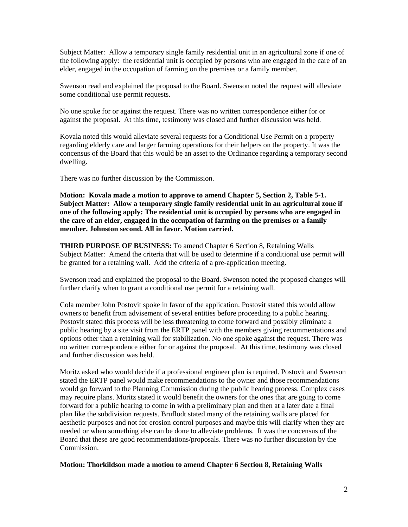Subject Matter: Allow a temporary single family residential unit in an agricultural zone if one of the following apply: the residential unit is occupied by persons who are engaged in the care of an elder, engaged in the occupation of farming on the premises or a family member.

Swenson read and explained the proposal to the Board. Swenson noted the request will alleviate some conditional use permit requests.

No one spoke for or against the request. There was no written correspondence either for or against the proposal. At this time, testimony was closed and further discussion was held.

Kovala noted this would alleviate several requests for a Conditional Use Permit on a property regarding elderly care and larger farming operations for their helpers on the property. It was the concensus of the Board that this would be an asset to the Ordinance regarding a temporary second dwelling.

There was no further discussion by the Commission.

**Motion: Kovala made a motion to approve to amend Chapter 5, Section 2, Table 5-1. Subject Matter: Allow a temporary single family residential unit in an agricultural zone if one of the following apply: The residential unit is occupied by persons who are engaged in the care of an elder, engaged in the occupation of farming on the premises or a family member. Johnston second. All in favor. Motion carried.** 

**THIRD PURPOSE OF BUSINESS:** To amend Chapter 6 Section 8, Retaining Walls Subject Matter: Amend the criteria that will be used to determine if a conditional use permit will be granted for a retaining wall. Add the criteria of a pre-application meeting.

Swenson read and explained the proposal to the Board. Swenson noted the proposed changes will further clarify when to grant a conditional use permit for a retaining wall.

Cola member John Postovit spoke in favor of the application. Postovit stated this would allow owners to benefit from advisement of several entities before proceeding to a public hearing. Postovit stated this process will be less threatening to come forward and possibly eliminate a public hearing by a site visit from the ERTP panel with the members giving recommentations and options other than a retaining wall for stabilization. No one spoke against the request. There was no written correspondence either for or against the proposal. At this time, testimony was closed and further discussion was held.

Moritz asked who would decide if a professional engineer plan is required. Postovit and Swenson stated the ERTP panel would make recommendations to the owner and those recommendations would go forward to the Planning Commission during the public hearing process. Complex cases may require plans. Moritz stated it would benefit the owners for the ones that are going to come forward for a public hearing to come in with a preliminary plan and then at a later date a final plan like the subdivision requests. Bruflodt stated many of the retaining walls are placed for aesthetic purposes and not for erosion control purposes and maybe this will clarify when they are needed or when something else can be done to alleviate problems. It was the concensus of the Board that these are good recommendations/proposals. There was no further discussion by the Commission.

**Motion: Thorkildson made a motion to amend Chapter 6 Section 8, Retaining Walls**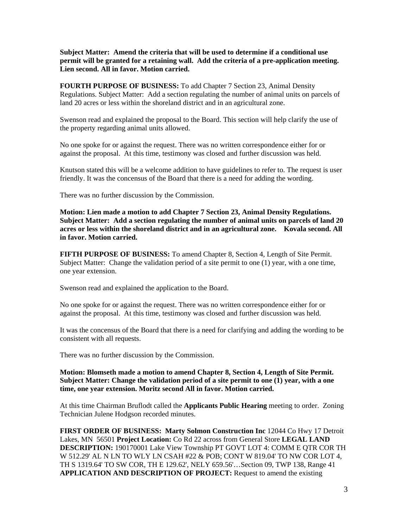**Subject Matter: Amend the criteria that will be used to determine if a conditional use permit will be granted for a retaining wall. Add the criteria of a pre-application meeting. Lien second. All in favor. Motion carried.** 

**FOURTH PURPOSE OF BUSINESS:** To add Chapter 7 Section 23, Animal Density Regulations. Subject Matter: Add a section regulating the number of animal units on parcels of land 20 acres or less within the shoreland district and in an agricultural zone.

Swenson read and explained the proposal to the Board. This section will help clarify the use of the property regarding animal units allowed.

No one spoke for or against the request. There was no written correspondence either for or against the proposal. At this time, testimony was closed and further discussion was held.

Knutson stated this will be a welcome addition to have guidelines to refer to. The request is user friendly. It was the concensus of the Board that there is a need for adding the wording.

There was no further discussion by the Commission.

**Motion: Lien made a motion to add Chapter 7 Section 23, Animal Density Regulations. Subject Matter: Add a section regulating the number of animal units on parcels of land 20 acres or less within the shoreland district and in an agricultural zone. Kovala second. All in favor. Motion carried.** 

**FIFTH PURPOSE OF BUSINESS:** To amend Chapter 8, Section 4, Length of Site Permit. Subject Matter: Change the validation period of a site permit to one (1) year, with a one time, one year extension.

Swenson read and explained the application to the Board.

No one spoke for or against the request. There was no written correspondence either for or against the proposal. At this time, testimony was closed and further discussion was held.

It was the concensus of the Board that there is a need for clarifying and adding the wording to be consistent with all requests.

There was no further discussion by the Commission.

**Motion: Blomseth made a motion to amend Chapter 8, Section 4, Length of Site Permit. Subject Matter: Change the validation period of a site permit to one (1) year, with a one time, one year extension. Moritz second All in favor. Motion carried.**

At this time Chairman Bruflodt called the **Applicants Public Hearing** meeting to order. Zoning Technician Julene Hodgson recorded minutes.

**FIRST ORDER OF BUSINESS: Marty Solmon Construction Inc** 12044 Co Hwy 17 Detroit Lakes, MN 56501 **Project Location:** Co Rd 22 across from General Store **LEGAL LAND DESCRIPTION:** 190170001 Lake View Township PT GOVT LOT 4: COMM E QTR COR TH W 512.29' AL N LN TO WLY LN CSAH #22 & POB; CONT W 819.04' TO NW COR LOT 4, TH S 1319.64' TO SW COR, TH E 129.62', NELY 659.56'…Section 09, TWP 138, Range 41 **APPLICATION AND DESCRIPTION OF PROJECT:** Request to amend the existing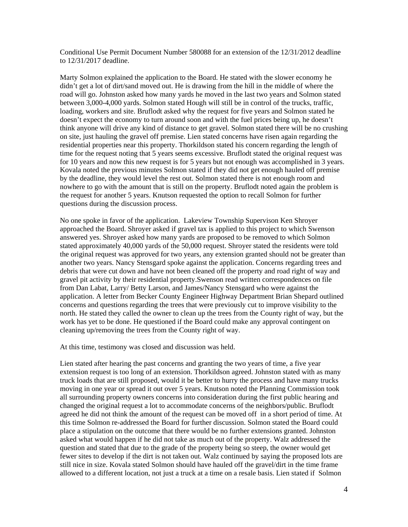Conditional Use Permit Document Number 580088 for an extension of the 12/31/2012 deadline to 12/31/2017 deadline.

Marty Solmon explained the application to the Board. He stated with the slower economy he didn't get a lot of dirt/sand moved out. He is drawing from the hill in the middle of where the road will go. Johnston asked how many yards he moved in the last two years and Solmon stated between 3,000-4,000 yards. Solmon stated Hough will still be in control of the trucks, traffic, loading, workers and site. Bruflodt asked why the request for five years and Solmon stated he doesn't expect the economy to turn around soon and with the fuel prices being up, he doesn't think anyone will drive any kind of distance to get gravel. Solmon stated there will be no crushing on site, just hauling the gravel off premise. Lien stated concerns have risen again regarding the residential properties near this property. Thorkildson stated his concern regarding the length of time for the request noting that 5 years seems excessive. Bruflodt stated the original request was for 10 years and now this new request is for 5 years but not enough was accomplished in 3 years. Kovala noted the previous minutes Solmon stated if they did not get enough hauled off premise by the deadline, they would level the rest out. Solmon stated there is not enough room and nowhere to go with the amount that is still on the property. Bruflodt noted again the problem is the request for another 5 years. Knutson requested the option to recall Solmon for further questions during the discussion process.

No one spoke in favor of the application. Lakeview Township Supervison Ken Shroyer approached the Board. Shroyer asked if gravel tax is applied to this project to which Swenson answered yes. Shroyer asked how many yards are proposed to be removed to which Solmon stated approximately 40,000 yards of the 50,000 request. Shroyer stated the residents were told the original request was approved for two years, any extension granted should not be greater than another two years. Nancy Stensgard spoke against the application. Concerns regarding trees and debris that were cut down and have not been cleaned off the property and road right of way and gravel pit activity by their residential property.Swenson read written correspondences on file from Dan Labat, Larry/ Betty Larson, and James/Nancy Stensgard who were against the application. A letter from Becker County Engineer Highway Department Brian Shepard outlined concerns and questions regarding the trees that were previously cut to improve visibility to the north. He stated they called the owner to clean up the trees from the County right of way, but the work has yet to be done. He questioned if the Board could make any approval contingent on cleaning up/removing the trees from the County right of way.

At this time, testimony was closed and discussion was held.

Lien stated after hearing the past concerns and granting the two years of time, a five year extension request is too long of an extension. Thorkildson agreed. Johnston stated with as many truck loads that are still proposed, would it be better to hurry the process and have many trucks moving in one year or spread it out over 5 years. Knutson noted the Planning Commission took all surrounding property owners concerns into consideration during the first public hearing and changed the original request a lot to accommodate concerns of the neighbors/public. Bruflodt agreed he did not think the amount of the request can be moved off in a short period of time. At this time Solmon re-addressed the Board for further discussion. Solmon stated the Board could place a stipulation on the outcome that there would be no further extensions granted. Johnston asked what would happen if he did not take as much out of the property. Walz addressed the question and stated that due to the grade of the property being so steep, the owner would get fewer sites to develop if the dirt is not taken out. Walz continued by saying the proposed lots are still nice in size. Kovala stated Solmon should have hauled off the gravel/dirt in the time frame allowed to a different location, not just a truck at a time on a resale basis. Lien stated if Solmon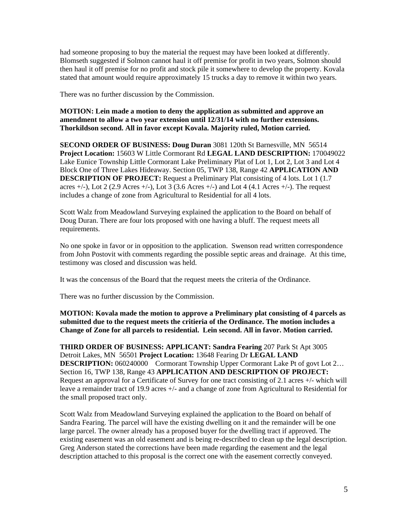had someone proposing to buy the material the request may have been looked at differently. Blomseth suggested if Solmon cannot haul it off premise for profit in two years, Solmon should then haul it off premise for no profit and stock pile it somewhere to develop the property. Kovala stated that amount would require approximately 15 trucks a day to remove it within two years.

There was no further discussion by the Commission.

**MOTION: Lein made a motion to deny the application as submitted and approve an amendment to allow a two year extension until 12/31/14 with no further extensions. Thorkildson second. All in favor except Kovala. Majority ruled, Motion carried.** 

**SECOND ORDER OF BUSINESS: Doug Duran** 3081 120th St Barnesville, MN 56514 **Project Location:** 15603 W Little Cormorant Rd **LEGAL LAND DESCRIPTION:** 170049022 Lake Eunice Township Little Cormorant Lake Preliminary Plat of Lot 1, Lot 2, Lot 3 and Lot 4 Block One of Three Lakes Hideaway. Section 05, TWP 138, Range 42 **APPLICATION AND DESCRIPTION OF PROJECT:** Request a Preliminary Plat consisting of 4 lots. Lot 1 (1.7) acres  $+/-$ ), Lot 2 (2.9 Acres  $+/-$ ), Lot 3 (3.6 Acres  $+/-$ ) and Lot 4 (4.1 Acres  $+/-$ ). The request includes a change of zone from Agricultural to Residential for all 4 lots.

Scott Walz from Meadowland Surveying explained the application to the Board on behalf of Doug Duran. There are four lots proposed with one having a bluff. The request meets all requirements.

No one spoke in favor or in opposition to the application. Swenson read written correspondence from John Postovit with comments regarding the possible septic areas and drainage. At this time, testimony was closed and discussion was held.

It was the concensus of the Board that the request meets the criteria of the Ordinance.

There was no further discussion by the Commission.

**MOTION: Kovala made the motion to approve a Preliminary plat consisting of 4 parcels as submitted due to the request meets the critieria of the Ordinance. The motion includes a Change of Zone for all parcels to residential. Lein second. All in favor. Motion carried.** 

**THIRD ORDER OF BUSINESS: APPLICANT: Sandra Fearing** 207 Park St Apt 3005 Detroit Lakes, MN 56501 **Project Location:** 13648 Fearing Dr **LEGAL LAND DESCRIPTION:** 060240000 Cormorant Township Upper Cormorant Lake Pt of govt Lot 2... Section 16, TWP 138, Range 43 **APPLICATION AND DESCRIPTION OF PROJECT:** Request an approval for a Certificate of Survey for one tract consisting of 2.1 acres +/- which will leave a remainder tract of 19.9 acres +/- and a change of zone from Agricultural to Residential for the small proposed tract only.

Scott Walz from Meadowland Surveying explained the application to the Board on behalf of Sandra Fearing. The parcel will have the existing dwelling on it and the remainder will be one large parcel. The owner already has a proposed buyer for the dwelling tract if approved. The existing easement was an old easement and is being re-described to clean up the legal description. Greg Anderson stated the corrections have been made regarding the easement and the legal description attached to this proposal is the correct one with the easement correctly conveyed.